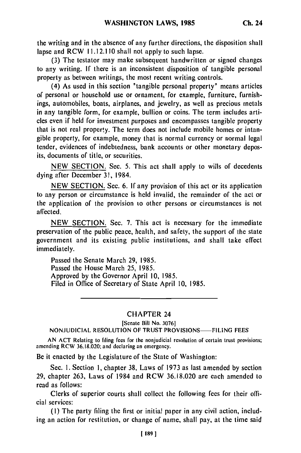the writing and in the absence of any further directions, the disposition shall lapse and RCW 11.12.110 shall not apply to such lapse.

**(3)** The testator may make subsequent handwritten or signed changes to any writing. If there is an inconsistent disposition of tangible personal property as between writings, the most recent writing controls.

(4) As used in this section "tangible personal property" means articles of personal or household use or ornament, for example, furniture, furnishings, automobiles, boats, airplanes, and jewelry, as well as precious metals in any tangible form, for example, bullion or coins. The term includes articles even if held for investment purposes and encompasses tangible property that is not real property. The term does not include mobile homes or intangible property, for example, money that is normal currency or normal legal tender, evidences of indebtedness, bank accounts or other monetary deposits, documents of title, or securities.

NEW SECTION. Sec. 5. This act shall apply to wills of decedents dying after December **31,** 1984.

NEW SECTION. Sec. 6. If any provision of this act or its application to any person or circumstance is held invalid, the remainder of the act or the application of the provision to other persons or circumstances is not affected.

NEW SECTION. Sec. **7.** This act is necessary for the immediate preservation of the public peace, health, and safety, the support of the state government and its existing public institutions, and shall take effect immediately.

Passed the Senate March 29, 1985. Passed the House March 25, 1985. Approved **by** the Governor April 10, 1985. Filed in Office of Secretary of State April **10,** 1985.

## CHAPTER 24

[Senate Bill No. **30761**

NONJUDICIAL RESOLUTION OF TRUST PROVISIONS-FILING FEES

AN ACT Relating to filing **fees** for the nonjudicial resolution of certain trust provisions; amending RCW 36.18.020; and declaring an emergency.

Be it enacted **by** the Legislature of the State of Washington:

Sec. I. Section 1, chapter **38,** Laws of 1973 as last amended **by** section **29,** chapter 263, Laws of 1984 and RCW 36.18.020 are each amended to read as follows:

Clerks of superior courts shall collect the following fees for their official services:

**(i)** The party filing the first or initial paper in any civil action, including an action for restitution, or change of name, shall pay, at the time said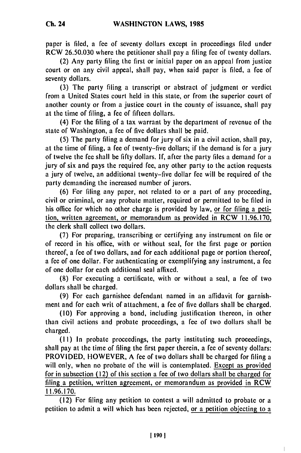paper is filed, a fee of seventy dollars except in proceedings **filed** under RCW 26.50.030 where the petitioner shall pay a filing fee of twenty dollars.

(2) Any party filing the first or initial paper on an appeal from justice court or on any civil appeal, shall pay, when said paper is filed, a fee of seventy dollars.

**(3)** The party filing a transcript or abstract of judgment or verdict from a United States court held in this state, or from the superior court of another county or from a justice court in the county of issuance, shall pay at the time of filing, a fee of fifteen dollars.

(4) For the filing of a tax warrant by the department of revenue of the state of Washington, a fee **of** five dollars shall be paid.

(5) The party filing a demand for jury of six in a civil action, shall pay, at the time of filing, a fee of twenty-five dollars; if the demand is for a jury of twelve the fee shall be fifty dollars. **If,** after the party files a demand for a jury of six and pays the required fee, any other party to the action requests a jury of twelve, an additional twenty-five dollar fee will be required of the party demanding the increased number of jurors.

(6) For filing any paper, not related to or a part of any proceeding, civil or criminal, or any probate matter, required or permitted to be filed in his office for which no other charge is provided by law, or for filing a petition, written agreement, or memorandum as provided in RCW 11.96.170, the clerk shall collect two dollars.

(7) For preparing, transcribing or certifying any instrument on file or of record in his office, with or without seal, for the first page or portion thereof, a fee of two dollars, and for each additional page or portion thereof, a fee of one dollar. For authenticating or exemplifying any instrument, a **fee** of one dollar for each additional seal affixed.

**(8)** For executing a certificate, with or without a seal, a fee of two dollars shall be charged.

(9) For each garnishee defendant named in an affidavit for garnishment and for each writ of attachment, a fee of five dollars shall be charged.

(10) For approving a bond, including justification thereon, in other than civil actions and probate proceedings, a **fee** of two dollars shall be charged.

**(II)** In probate proceedings, the party instituting such proceedings, shall pay at the time of filing the first paper therein, a fee of seventy dollars: PROVIDED, HOWEVER, A fee of two dollars shall be charged for filing a will only, when no probate of the will is contemplated. Except as provided for in subsection (12) of this section a fee of two dollars shall be charged for filing a petition, written agreement, or memorandum as provided in  $RCW$ **11.96.170.**

(12) For filing any petition to contest a will admitted to probate or a petition to admit a will which has been rejected, or a petition objecting to a

 $\mathbf{I}$